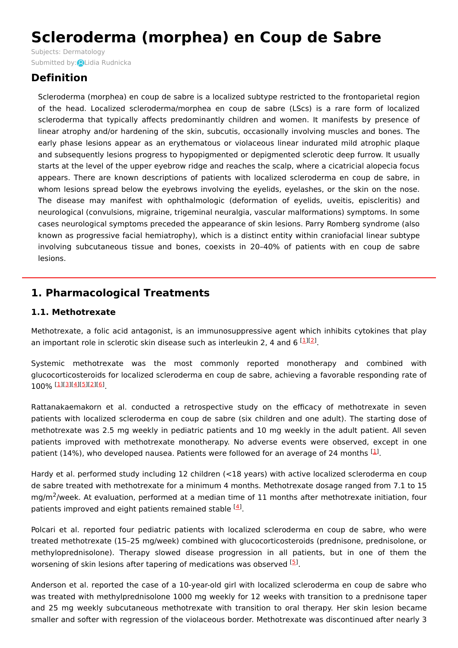# **Scleroderma (morphea) en Coup de Sabre**

Subjects: [Dermatology](https://encyclopedia.pub/item/subject/67) Submitted by: QLidia [Rudnicka](https://sciprofiles.com/profile/1074972)

# **Definition**

Scleroderma (morphea) en coup de sabre is a localized subtype restricted to the frontoparietal region of the head. Localized scleroderma/morphea en coup de sabre (LScs) is a rare form of localized scleroderma that typically affects predominantly children and women. It manifests by presence of linear atrophy and/or hardening of the skin, subcutis, occasionally involving muscles and bones. The early phase lesions appear as an erythematous or violaceous linear indurated mild atrophic plaque and subsequently lesions progress to hypopigmented or depigmented sclerotic deep furrow. It usually starts at the level of the upper eyebrow ridge and reaches the scalp, where a cicatricial alopecia focus appears. There are known descriptions of patients with localized scleroderma en coup de sabre, in whom lesions spread below the eyebrows involving the eyelids, eyelashes, or the skin on the nose. The disease may manifest with ophthalmologic (deformation of eyelids, uveitis, episcleritis) and neurological (convulsions, migraine, trigeminal neuralgia, vascular malformations) symptoms. In some cases neurological symptoms preceded the appearance of skin lesions. Parry Romberg syndrome (also known as progressive facial hemiatrophy), which is a distinct entity within craniofacial linear subtype involving subcutaneous tissue and bones, coexists in 20–40% of patients with en coup de sabre lesions.

# **1. Pharmacological Treatments**

#### **1.1. Methotrexate**

Methotrexate, a folic acid antagonist, is an immunosuppressive agent which inhibits cytokines that play an important role in sclerotic skin disease such as interleukin [2](#page-4-1), 4 and 6  $[1]$  $[1]$  $[2]$ .

Systemic methotrexate was the most commonly reported monotherapy and combined with glucocorticosteroids for localized scleroderma en coup de sabre, achieving a favorable responding rate of [1](#page-4-0)00% [1][[3](#page-4-2)][<u>4][\[5](#page-4-4)][\[2](#page-4-1)][[6](#page-4-5)]</u><br>.

Rattanakaemakorn et al. conducted a retrospective study on the efficacy of methotrexate in seven patients with localized scleroderma en coup de sabre (six children and one adult). The starting dose of methotrexate was 2.5 mg weekly in pediatric patients and 10 mg weekly in the adult patient. All seven patients improved with methotrexate monotherapy. No adverse events were observed, except in one patient (14%), who developed nausea. Patients were followed for an average of 24 months  $^{[1]}$  $^{[1]}$  $^{[1]}$ .

Hardy et al. performed study including 12 children (<18 years) with active localized scleroderma en coup de sabre treated with methotrexate for a minimum 4 months. Methotrexate dosage ranged from 7.1 to 15 mg/m<sup>2</sup>/week. At evaluation, performed at a median time of 11 months after methotrexate initiation, four patients improved and eight patients remained stable <sup>[\[4](#page-4-3)]</sup>.

Polcari et al. reported four pediatric patients with localized scleroderma en coup de sabre, who were treated methotrexate (15–25 mg/week) combined with glucocorticosteroids (prednisone, prednisolone, or methyloprednisolone). Therapy slowed disease progression in all patients, but in one of them the worsening of skin lesions after tapering of medications was observed <sup>[[5](#page-4-4)]</sup>.

Anderson et al. reported the case of a 10-year-old girl with localized scleroderma en coup de sabre who was treated with methylprednisolone 1000 mg weekly for 12 weeks with transition to a prednisone taper and 25 mg weekly subcutaneous methotrexate with transition to oral therapy. Her skin lesion became smaller and softer with regression of the violaceous border. Methotrexate was discontinued after nearly 3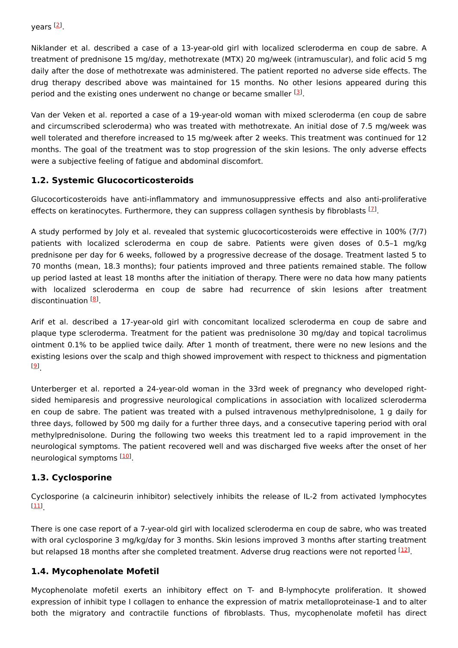years <sup>[<u>[2](#page-4-1)</u>]</sup>.

Niklander et al. described a case of a 13-year-old girl with localized scleroderma en coup de sabre. A treatment of prednisone 15 mg/day, methotrexate (MTX) 20 mg/week (intramuscular), and folic acid 5 mg daily after the dose of methotrexate was administered. The patient reported no adverse side effects. The drug therapy described above was maintained for 15 months. No other lesions appeared during this period and the existing ones underwent no change or became smaller <sup>[[3](#page-4-2)]</sup>.

Van der Veken et al. reported a case of a 19-year-old woman with mixed scleroderma (en coup de sabre and circumscribed scleroderma) who was treated with methotrexate. An initial dose of 7.5 mg/week was well tolerated and therefore increased to 15 mg/week after 2 weeks. This treatment was continued for 12 months. The goal of the treatment was to stop progression of the skin lesions. The only adverse effects were a subjective feeling of fatigue and abdominal discomfort.

#### **1.2. Systemic Glucocorticosteroids**

Glucocorticosteroids have anti-inflammatory and immunosuppressive effects and also anti-proliferative effects on keratinocytes. Furthermore, they can suppress collagen synthesis by fibroblasts  $^{[2]}$ .

A study performed by Joly et al. revealed that systemic glucocorticosteroids were effective in 100% (7/7) patients with localized scleroderma en coup de sabre. Patients were given doses of 0.5–1 mg/kg prednisone per day for 6 weeks, followed by a progressive decrease of the dosage. Treatment lasted 5 to 70 months (mean, 18.3 months); four patients improved and three patients remained stable. The follow up period lasted at least 18 months after the initiation of therapy. There were no data how many patients with localized scleroderma en coup de sabre had recurrence of skin lesions after treatment discontinuation <sup>[\[8](#page-4-7)]</sup>.

Arif et al. described a 17-year-old girl with concomitant localized scleroderma en coup de sabre and plaque type scleroderma. Treatment for the patient was prednisolone 30 mg/day and topical tacrolimus ointment 0.1% to be applied twice daily. After 1 month of treatment, there were no new lesions and the existing lesions over the scalp and thigh showed improvement with respect to thickness and pigmentation . [[9](#page-4-8)]

Unterberger et al. reported a 24-year-old woman in the 33rd week of pregnancy who developed rightsided hemiparesis and progressive neurological complications in association with localized scleroderma en coup de sabre. The patient was treated with a pulsed intravenous methylprednisolone, 1 g daily for three days, followed by 500 mg daily for a further three days, and a consecutive tapering period with oral methylprednisolone. During the following two weeks this treatment led to a rapid improvement in the neurological symptoms. The patient recovered well and was discharged five weeks after the onset of her neurological symptoms [\[10](#page-4-9)].

# **1.3. Cyclosporine**

Cyclosporine (a calcineurin inhibitor) selectively inhibits the release of IL-2 from activated lymphocytes . [[11](#page-4-10)]

There is one case report of a 7-year-old girl with localized scleroderma en coup de sabre, who was treated with oral cyclosporine 3 mg/kg/day for 3 months. Skin lesions improved 3 months after starting treatment but relapsed 18 months after she completed treatment. Adverse drug reactions were not reported <sup>[\[12\]](#page-4-11)</sup>.

#### **1.4. Mycophenolate Mofetil**

Mycophenolate mofetil exerts an inhibitory effect on T- and B-lymphocyte proliferation. It showed expression of inhibit type I collagen to enhance the expression of matrix metalloproteinase-1 and to alter both the migratory and contractile functions of fibroblasts. Thus, mycophenolate mofetil has direct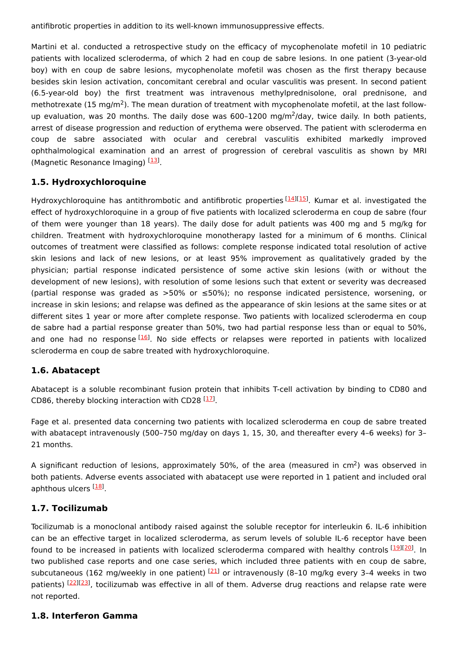antifibrotic properties in addition to its well-known immunosuppressive effects.

Martini et al. conducted a retrospective study on the efficacy of mycophenolate mofetil in 10 pediatric patients with localized scleroderma, of which 2 had en coup de sabre lesions. In one patient (3-year-old boy) with en coup de sabre lesions, mycophenolate mofetil was chosen as the first therapy because besides skin lesion activation, concomitant cerebral and ocular vasculitis was present. In second patient (6.5-year-old boy) the first treatment was intravenous methylprednisolone, oral prednisone, and methotrexate (15 mg/m<sup>2</sup>). The mean duration of treatment with mycophenolate mofetil, at the last followup evaluation, was 20 months. The daily dose was 600-1200 mg/m<sup>2</sup>/day, twice daily. In both patients, arrest of disease progression and reduction of erythema were observed. The patient with scleroderma en coup de sabre associated with ocular and cerebral vasculitis exhibited markedly improved ophthalmological examination and an arrest of progression of cerebral vasculitis as shown by MRI (Magnetic Resonance Imaging) [\[13](#page-5-0)].

#### **1.5. Hydroxychloroquine**

Hydroxychloroquine has antithrombotic and antifibrotic properties [[14](#page-5-1)][\[15\]](#page-5-2). Kumar et al. investigated the effect of hydroxychloroquine in a group of five patients with localized scleroderma en coup de sabre (four of them were younger than 18 years). The daily dose for adult patients was 400 mg and 5 mg/kg for children. Treatment with hydroxychloroquine monotherapy lasted for a minimum of 6 months. Clinical outcomes of treatment were classified as follows: complete response indicated total resolution of active skin lesions and lack of new lesions, or at least 95% improvement as qualitatively graded by the physician; partial response indicated persistence of some active skin lesions (with or without the development of new lesions), with resolution of some lesions such that extent or severity was decreased (partial response was graded as >50% or ≤50%); no response indicated persistence, worsening, or increase in skin lesions; and relapse was defined as the appearance of skin lesions at the same sites or at different sites 1 year or more after complete response. Two patients with localized scleroderma en coup de sabre had a partial response greater than 50%, two had partial response less than or equal to 50%, and one had no response [\[16](#page-5-3)]. No side effects or relapses were reported in patients with localized scleroderma en coup de sabre treated with hydroxychloroquine.

#### **1.6. Abatacept**

Abatacept is a soluble recombinant fusion protein that inhibits T-cell activation by binding to CD80 and CD86, thereby blocking interaction with CD28 [\[17](#page-5-4)].

Fage et al. presented data concerning two patients with localized scleroderma en coup de sabre treated with abatacept intravenously (500–750 mg/day on days 1, 15, 30, and thereafter every 4–6 weeks) for 3– 21 months.

A significant reduction of lesions, approximately 50%, of the area (measured in cm<sup>2</sup>) was observed in both patients. Adverse events associated with abatacept use were reported in 1 patient and included oral aphthous ulcers <sup>[<u>18</u>]</sup>.

# **1.7. Tocilizumab**

Tocilizumab is a monoclonal antibody raised against the soluble receptor for interleukin 6. IL-6 inhibition can be an effective target in localized scleroderma, as serum levels of soluble IL-6 receptor have been found to be increased in patients with localized scleroderma compared with healthy controls [\[19](#page-5-6)][\[20](#page-5-7)]. In two published case reports and one case series, which included three patients with en coup de sabre, subcutaneous (162 mg/weekly in one patient) <sup>[\[21](#page-5-8)]</sup> or intravenously (8-10 mg/kg every 3-4 weeks in two patients) [\[22](#page-5-9)][\[23](#page-5-10)], tocilizumab was effective in all of them. Adverse drug reactions and relapse rate were not reported.

#### **1.8. Interferon Gamma**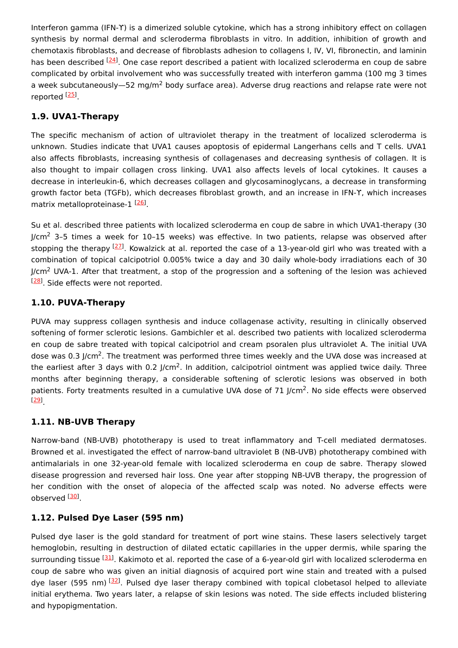Interferon gamma (IFN-ϒ) is a dimerized soluble cytokine, which has a strong inhibitory effect on collagen synthesis by normal dermal and scleroderma fibroblasts in vitro. In addition, inhibition of growth and chemotaxis fibroblasts, and decrease of fibroblasts adhesion to collagens I, IV, VI, fibronectin, and laminin has been described <sup>[\[24](#page-5-11)]</sup>. One case report described a patient with localized scleroderma en coup de sabre complicated by orbital involvement who was successfully treated with interferon gamma (100 mg 3 times a week subcutaneously—52 mg/m<sup>2</sup> body surface area). Adverse drug reactions and relapse rate were not reported <sup>[<u>25</u>]</sup>

# **1.9. UVA1-Therapy**

The specific mechanism of action of ultraviolet therapy in the treatment of localized scleroderma is unknown. Studies indicate that UVA1 causes apoptosis of epidermal Langerhans cells and T cells. UVA1 also affects fibroblasts, increasing synthesis of collagenases and decreasing synthesis of collagen. It is also thought to impair collagen cross linking. UVA1 also affects levels of local cytokines. It causes a decrease in interleukin-6, which decreases collagen and glycosaminoglycans, a decrease in transforming growth factor beta (TGFb), which decreases fibroblast growth, and an increase in IFN-ϒ, which increases matrix metalloproteinase-1 [[26\]](#page-5-13).

Su et al. described three patients with localized scleroderma en coup de sabre in which UVA1-therapy (30 J/cm<sup>2</sup> 3–5 times a week for 10–15 weeks) was effective. In two patients, relapse was observed after stopping the therapy <sup>[\[27](#page-5-14)]</sup>. Kowalzick at al. reported the case of a 13-year-old girl who was treated with a combination of topical calcipotriol 0.005% twice a day and 30 daily whole-body irradiations each of 30 J/cm<sup>2</sup> UVA-1. After that treatment, a stop of the progression and a softening of the lesion was achieved <sup>[[28](#page-5-15)]</sup>. Side effects were not reported.

# **1.10. PUVA-Therapy**

PUVA may suppress collagen synthesis and induce collagenase activity, resulting in clinically observed softening of former sclerotic lesions. Gambichler et al. described two patients with localized scleroderma en coup de sabre treated with topical calcipotriol and cream psoralen plus ultraviolet A. The initial UVA dose was 0.3 J/cm<sup>2</sup>. The treatment was performed three times weekly and the UVA dose was increased at the earliest after 3 days with 0.2 J/cm<sup>2</sup>. In addition, calcipotriol ointment was applied twice daily. Three months after beginning therapy, a considerable softening of sclerotic lesions was observed in both patients. Forty treatments resulted in a cumulative UVA dose of 71 J/cm<sup>2</sup>. No side effects were observed . [[29](#page-5-16)]

# **1.11. NB-UVB Therapy**

Narrow-band (NB-UVB) phototherapy is used to treat inflammatory and T-cell mediated dermatoses. Browned et al. investigated the effect of narrow-band ultraviolet B (NB-UVB) phototherapy combined with antimalarials in one 32-year-old female with localized scleroderma en coup de sabre. Therapy slowed disease progression and reversed hair loss. One year after stopping NB-UVB therapy, the progression of her condition with the onset of alopecia of the affected scalp was noted. No adverse effects were observed <sup>[<u>[30\]](#page-5-17)</u></sup>

# **1.12. Pulsed Dye Laser (595 nm)**

Pulsed dye laser is the gold standard for treatment of port wine stains. These lasers selectively target hemoglobin, resulting in destruction of dilated ectatic capillaries in the upper dermis, while sparing the surrounding tissue <sup>[[31\]](#page-5-18)</sup>. Kakimoto et al. reported the case of a 6-year-old girl with localized scleroderma en coup de sabre who was given an initial diagnosis of acquired port wine stain and treated with a pulsed dye laser (595 nm) [\[32](#page-5-19)]. Pulsed dye laser therapy combined with topical clobetasol helped to alleviate initial erythema. Two years later, a relapse of skin lesions was noted. The side effects included blistering and hypopigmentation.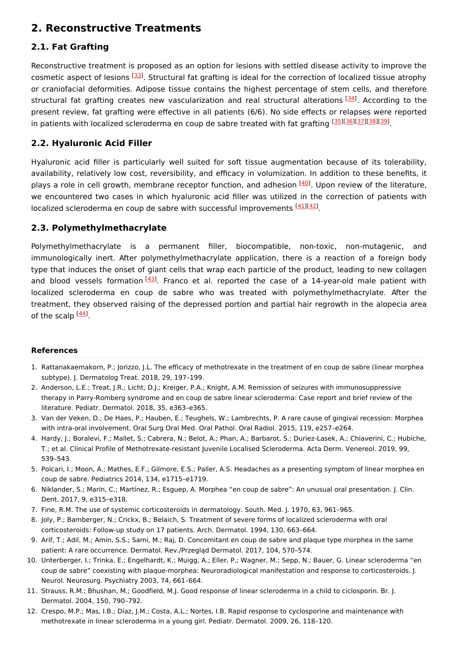# **2. Reconstructive Treatments**

# **2.1. Fat Grafting**

Reconstructive treatment is proposed as an option for lesions with settled disease activity to improve the cosmetic aspect of lesions <sup>[\[33](#page-5-20)]</sup>. Structural fat grafting is ideal for the correction of localized tissue atrophy or craniofacial deformities. Adipose tissue contains the highest percentage of stem cells, and therefore structural fat grafting creates new vascularization and real structural alterations [[34](#page-5-21)]. According to the present review, fat grafting were effective in all patients (6/6). No side effects or relapses were reported in patients with localized scleroderma en coup de sabre treated with fat grafting [[35](#page-5-22)][\[36](#page-5-23)][\[37](#page-5-24)][\[38](#page-5-25)][\[39](#page-5-26)].

#### **2.2. Hyaluronic Acid Filler**

Hyaluronic acid filler is particularly well suited for soft tissue augmentation because of its tolerability, availability, relatively low cost, reversibility, and efficacy in volumization. In addition to these benefits, it plays a role in cell growth, membrane receptor function, and adhesion <sup>[[40](#page-6-0)]</sup>. Upon review of the literature, we encountered two cases in which hyaluronic acid filler was utilized in the correction of patients with localized scleroderma en coup de sabre with successful improvements <a>[\[41](#page-6-1)]</a>[\[42](#page-6-2)]</a>.

#### **2.3. Polymethylmethacrylate**

Polymethylmethacrylate is a permanent filler, biocompatible, non-toxic, non-mutagenic, and immunologically inert. After polymethylmethacrylate application, there is a reaction of a foreign body type that induces the onset of giant cells that wrap each particle of the product, leading to new collagen and blood vessels formation [\[43](#page-6-3)]. Franco et al. reported the case of a 14-year-old male patient with localized scleroderma en coup de sabre who was treated with polymethylmethacrylate. After the treatment, they observed raising of the depressed portion and partial hair regrowth in the alopecia area of the scalp  $\frac{[44]}{]}$  $\frac{[44]}{]}$  $\frac{[44]}{]}$ .

#### **References**

- <span id="page-4-0"></span>1. Rattanakaemakorn, P.; Jorizzo, J.L. The efficacy of methotrexate in the treatment of en coup de sabre (linear morphea subtype). J. Dermatolog Treat. 2018, 29, 197–199.
- <span id="page-4-1"></span>2. Anderson, L.E.; Treat, J.R.; Licht, D.J.; Kreiger, P.A.; Knight, A.M. Remission of seizures with immunosuppressive therapy in Parry-Romberg syndrome and en coup de sabre linear scleroderma: Case report and brief review of the literature. Pediatr. Dermatol. 2018, 35, e363–e365.
- <span id="page-4-2"></span>3. Van der Veken, D.; De Haes, P.; Hauben, E.; Teughels, W.; Lambrechts, P. A rare cause of gingival recession: Morphea with intra-oral involvement. Oral Surg Oral Med. Oral Pathol. Oral Radiol. 2015, 119, e257–e264.
- <span id="page-4-3"></span>4. Hardy, J.; Boralevi, F.; Mallet, S.; Cabrera, N.; Belot, A.; Phan, A.; Barbarot, S.; Duriez-Lasek, A.; Chiaverini, C.; Hubiche, T.; et al. Clinical Profile of Methotrexate-resistant Juvenile Localised Scleroderma. Acta Derm. Venereol. 2019, 99, 539–543.
- <span id="page-4-4"></span>5. Polcari, I.; Moon, A.; Mathes, E.F.; Gilmore, E.S.; Paller, A.S. Headaches as a presenting symptom of linear morphea en coup de sabre. Pediatrics 2014, 134, e1715–e1719.
- <span id="page-4-5"></span>6. Niklander, S.; Marín, C.; Martínez, R.; Esguep, A. Morphea "en coup de sabre": An unusual oral presentation. J. Clin. Dent. 2017, 9, e315–e318.
- <span id="page-4-6"></span>7. Fine, R.M. The use of systemic corticosteroids in dermatology. South. Med. J. 1970, 63, 961–965.
- <span id="page-4-7"></span>8. Joly, P.; Bamberger, N.; Crickx, B.; Belaich, S. Treatment of severe forms of localized scleroderma with oral corticosteroids: Follow-up study on 17 patients. Arch. Dermatol. 1994, 130, 663–664.
- <span id="page-4-8"></span>9. Arif, T.; Adil, M.; Amin, S.S.; Sami, M.; Raj, D. Concomitant en coup de sabre and plaque type morphea in the same patient: A rare occurrence. Dermatol. Rev./Przegląd Dermatol. 2017, 104, 570–574.
- <span id="page-4-9"></span>10. Unterberger, I.; Trinka, E.; Engelhardt, K.; Muigg, A.; Eller, P.; Wagner, M.; Sepp, N.; Bauer, G. Linear scleroderma "en coup de sabre" coexisting with plaque-morphea: Neuroradiological manifestation and response to corticosteroids. J. Neurol. Neurosurg. Psychiatry 2003, 74, 661–664.
- <span id="page-4-10"></span>11. Strauss, R.M.; Bhushan, M.; Goodfield, M.J. Good response of linear scleroderma in a child to ciclosporin. Br. J. Dermatol. 2004, 150, 790–792.
- <span id="page-4-11"></span>12. Crespo, M.P.; Mas, I.B.; Díaz, J.M.; Costa, A.L.; Nortes, I.B. Rapid response to cyclosporine and maintenance with methotrexate in linear scleroderma in a young girl. Pediatr. Dermatol. 2009, 26, 118–120.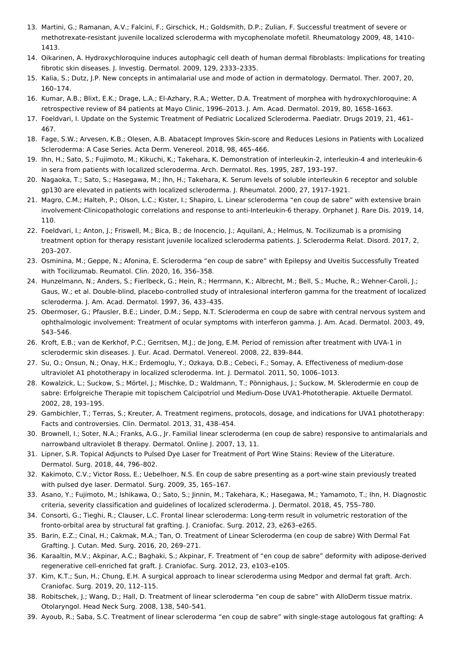- <span id="page-5-0"></span>13. Martini, G.; Ramanan, A.V.; Falcini, F.; Girschick, H.; Goldsmith, D.P.; Zulian, F. Successful treatment of severe or methotrexate-resistant juvenile localized scleroderma with mycophenolate mofetil. Rheumatology 2009, 48, 1410– 1413.
- <span id="page-5-1"></span>14. Oikarinen, A. Hydroxychloroquine induces autophagic cell death of human dermal fibroblasts: Implications for treating fibrotic skin diseases. J. Investig. Dermatol. 2009, 129, 2333–2335.
- <span id="page-5-2"></span>15. Kalia, S.; Dutz, J.P. New concepts in antimalarial use and mode of action in dermatology. Dermatol. Ther. 2007, 20, 160–174.
- <span id="page-5-3"></span>16. Kumar, A.B.; Blixt, E.K.; Drage, L.A.; El-Azhary, R.A.; Wetter, D.A. Treatment of morphea with hydroxychloroquine: A retrospective review of 84 patients at Mayo Clinic, 1996–2013. J. Am. Acad. Dermatol. 2019, 80, 1658–1663.
- <span id="page-5-4"></span>17. Foeldvari, I. Update on the Systemic Treatment of Pediatric Localized Scleroderma. Paediatr. Drugs 2019, 21, 461– 467.
- <span id="page-5-5"></span>18. Fage, S.W.; Arvesen, K.B.; Olesen, A.B. Abatacept Improves Skin-score and Reduces Lesions in Patients with Localized Scleroderma: A Case Series. Acta Derm. Venereol. 2018, 98, 465–466.
- <span id="page-5-6"></span>19. Ihn, H.; Sato, S.; Fujimoto, M.; Kikuchi, K.; Takehara, K. Demonstration of interleukin-2, interleukin-4 and interleukin-6 in sera from patients with localized scleroderma. Arch. Dermatol. Res. 1995, 287, 193–197.
- <span id="page-5-7"></span>20. Nagaoka, T.; Sato, S.; Hasegawa, M.; Ihn, H.; Takehara, K. Serum levels of soluble interleukin 6 receptor and soluble gp130 are elevated in patients with localized scleroderma. J. Rheumatol. 2000, 27, 1917–1921.
- <span id="page-5-8"></span>21. Magro, C.M.; Halteh, P.; Olson, L.C.; Kister, I.; Shapiro, L. Linear scleroderma "en coup de sabre" with extensive brain involvement-Clinicopathologic correlations and response to anti-Interleukin-6 therapy. Orphanet J. Rare Dis. 2019, 14, 110.
- <span id="page-5-9"></span>22. Foeldvari, I.; Anton, J.; Friswell, M.; Bica, B.; de Inocencio, J.; Aquilani, A.; Helmus, N. Tocilizumab is a promising treatment option for therapy resistant juvenile localized scleroderma patients. J. Scleroderma Relat. Disord. 2017, 2, 203–207.
- <span id="page-5-10"></span>23. Osminina, M.; Geppe, N.; Afonina, E. Scleroderma "en coup de sabre" with Epilepsy and Uveitis Successfully Treated with Tocilizumab. Reumatol. Clin. 2020, 16, 356–358.
- <span id="page-5-11"></span>24. Hunzelmann, N.; Anders, S.; Fierlbeck, G.; Hein, R.; Herrmann, K.; Albrecht, M.; Bell, S.; Muche, R.; Wehner-Caroli, J.; Gaus, W.; et al. Double-blind, placebo-controlled study of intralesional interferon gamma for the treatment of localized scleroderma. J. Am. Acad. Dermatol. 1997, 36, 433–435.
- <span id="page-5-12"></span>25. Obermoser, G.; Pfausler, B.E.; Linder, D.M.; Sepp, N.T. Scleroderma en coup de sabre with central nervous system and ophthalmologic involvement: Treatment of ocular symptoms with interferon gamma. J. Am. Acad. Dermatol. 2003, 49, 543–546.
- <span id="page-5-13"></span>26. Kroft, E.B.; van de Kerkhof, P.C.; Gerritsen, M.J.; de Jong, E.M. Period of remission after treatment with UVA-1 in sclerodermic skin diseases. J. Eur. Acad. Dermatol. Venereol. 2008, 22, 839–844.
- <span id="page-5-14"></span>27. Su, O.; Onsun, N.; Onay, H.K.; Erdemoglu, Y.; Ozkaya, D.B.; Cebeci, F.; Somay, A. Effectiveness of medium-dose ultraviolet A1 phototherapy in localized scleroderma. Int. J. Dermatol. 2011, 50, 1006–1013.
- <span id="page-5-15"></span>28. Kowalzick, L.; Suckow, S.; Mörtel, J.; Mischke, D.; Waldmann, T.; Pönnighaus, J.; Suckow, M. Sklerodermie en coup de sabre: Erfolgreiche Therapie mit topischem Calcipotriol und Medium-Dose UVA1-Phototherapie. Aktuelle Dermatol. 2002, 28, 193–195.
- <span id="page-5-16"></span>29. Gambichler, T.; Terras, S.; Kreuter, A. Treatment regimens, protocols, dosage, and indications for UVA1 phototherapy: Facts and controversies. Clin. Dermatol. 2013, 31, 438–454.
- <span id="page-5-17"></span>30. Brownell, I.; Soter, N.A.; Franks, A.G., Jr. Familial linear scleroderma (en coup de sabre) responsive to antimalarials and narrowband ultraviolet B therapy. Dermatol. Online J. 2007, 13, 11.
- <span id="page-5-18"></span>31. Lipner, S.R. Topical Adjuncts to Pulsed Dye Laser for Treatment of Port Wine Stains: Review of the Literature. Dermatol. Surg. 2018, 44, 796–802.
- <span id="page-5-19"></span>32. Kakimoto, C.V.; Victor Ross, E.; Uebelhoer, N.S. En coup de sabre presenting as a port-wine stain previously treated with pulsed dye laser. Dermatol. Surg. 2009, 35, 165–167.
- <span id="page-5-20"></span>33. Asano, Y.; Fujimoto, M.; Ishikawa, O.; Sato, S.; Jinnin, M.; Takehara, K.; Hasegawa, M.; Yamamoto, T.; Ihn, H. Diagnostic criteria, severity classification and guidelines of localized scleroderma. J. Dermatol. 2018, 45, 755–780.
- <span id="page-5-21"></span>34. Consorti, G.; Tieghi, R.; Clauser, L.C. Frontal linear scleroderma: Long-term result in volumetric restoration of the fronto-orbital area by structural fat grafting. J. Craniofac. Surg. 2012, 23, e263–e265.
- <span id="page-5-22"></span>35. Barin, E.Z.; Cinal, H.; Cakmak, M.A.; Tan, O. Treatment of Linear Scleroderma (en coup de sabre) With Dermal Fat Grafting. J. Cutan. Med. Surg. 2016, 20, 269–271.
- <span id="page-5-23"></span>36. Karaaltin, M.V.; Akpinar, A.C.; Baghaki, S.; Akpinar, F. Treatment of "en coup de sabre" deformity with adipose-derived regenerative cell-enriched fat graft. J. Craniofac. Surg. 2012, 23, e103–e105.
- <span id="page-5-24"></span>37. Kim, K.T.; Sun, H.; Chung, E.H. A surgical approach to linear scleroderma using Medpor and dermal fat graft. Arch. Craniofac. Surg. 2019, 20, 112–115.
- <span id="page-5-25"></span>38. Robitschek, J.; Wang, D.; Hall, D. Treatment of linear scleroderma "en coup de sabre" with AlloDerm tissue matrix. Otolaryngol. Head Neck Surg. 2008, 138, 540–541.
- <span id="page-5-26"></span>39. Ayoub, R.; Saba, S.C. Treatment of linear scleroderma "en coup de sabre" with single-stage autologous fat grafting: A